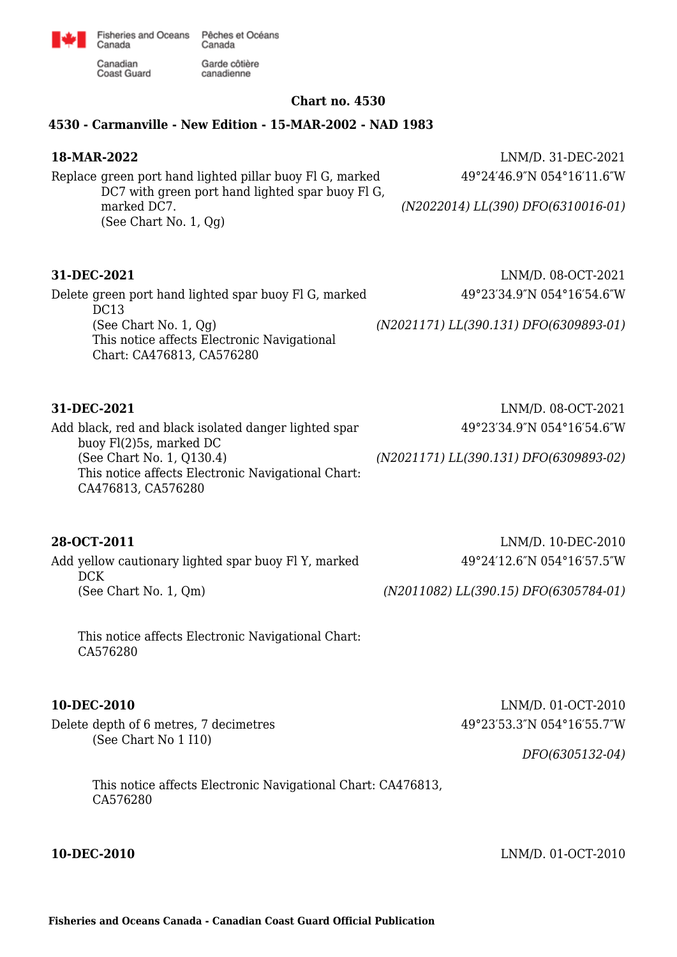

Canadian **Coast Guard** 

Canada

## **Chart no. 4530**

## **4530 - Carmanville - New Edition - 15-MAR-2002 - NAD 1983**

Garde côtière

canadienne

Replace green port hand lighted pillar buoy Fl G, marked DC7 with green port hand lighted spar buoy Fl G, marked DC7. (See Chart No. 1, Qg)

Delete green port hand lighted spar buoy Fl G, marked DC13 (See Chart No. 1, Qg) This notice affects Electronic Navigational Chart: CA476813, CA576280

Add black, red and black isolated danger lighted spar buoy Fl(2)5s, marked DC (See Chart No. 1, Q130.4) This notice affects Electronic Navigational Chart: CA476813, CA576280

**28-OCT-2011** LNM/D. 10-DEC-2010 Add yellow cautionary lighted spar buoy Fl Y, marked DCK (See Chart No. 1, Qm)

This notice affects Electronic Navigational Chart: CA576280

Delete depth of 6 metres, 7 decimetres (See Chart No 1 I10)

> This notice affects Electronic Navigational Chart: CA476813, CA576280

**18-MAR-2022** LNM/D. 31-DEC-2021 49°24′46.9″N 054°16′11.6″W

*(N2022014) LL(390) DFO(6310016-01)*

**31-DEC-2021** LNM/D. 08-OCT-2021 49°23′34.9″N 054°16′54.6″W

*(N2021171) LL(390.131) DFO(6309893-01)*

**31-DEC-2021** LNM/D. 08-OCT-2021 49°23′34.9″N 054°16′54.6″W

*(N2021171) LL(390.131) DFO(6309893-02)*

49°24′12.6″N 054°16′57.5″W

*(N2011082) LL(390.15) DFO(6305784-01)*

**10-DEC-2010** LNM/D. 01-OCT-2010 49°23′53.3″N 054°16′55.7″W

*DFO(6305132-04)*

**10-DEC-2010** LNM/D. 01-OCT-2010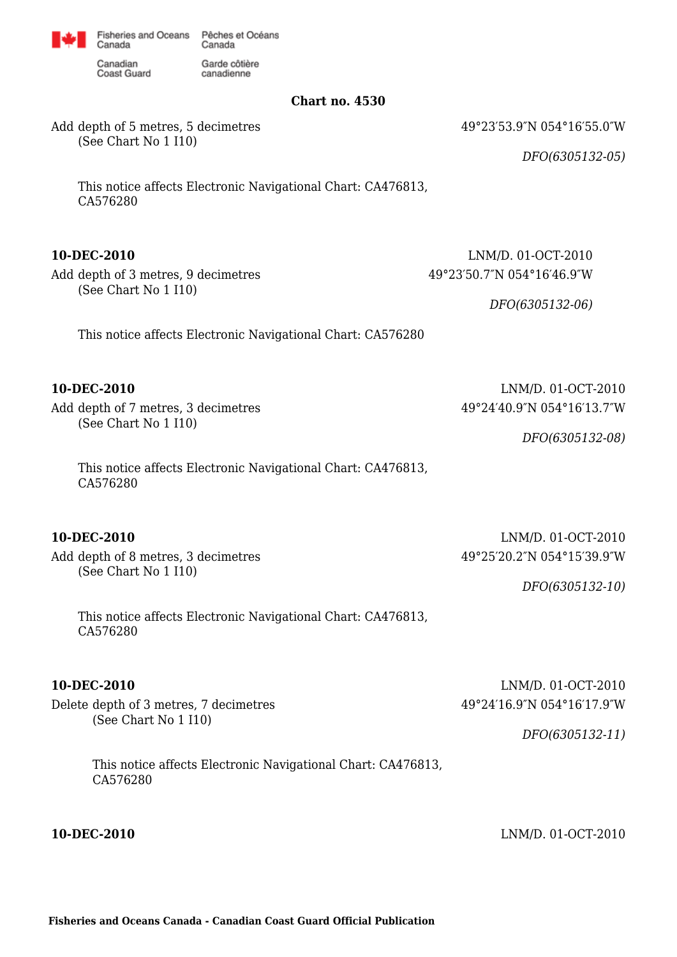

Garde côtière

canadienne

Canadian Coast Guard

Canada

**Chart no. 4530**

49°23′53.9″N 054°16′55.0″W

*DFO(6305132-05)*

(See Chart No 1 I10)

Add depth of 5 metres, 5 decimetres

This notice affects Electronic Navigational Chart: CA476813, CA576280

Add depth of 3 metres, 9 decimetres (See Chart No 1 I10)

**10-DEC-2010** LNM/D. 01-OCT-2010 49°23′50.7″N 054°16′46.9″W

*DFO(6305132-06)*

49°24′40.9″N 054°16′13.7″W

This notice affects Electronic Navigational Chart: CA576280

**10-DEC-2010** LNM/D. 01-OCT-2010

Add depth of 7 metres, 3 decimetres (See Chart No 1 I10)

> This notice affects Electronic Navigational Chart: CA476813, CA576280

Add depth of 8 metres, 3 decimetres (See Chart No 1 I10)

**10-DEC-2010** LNM/D. 01-OCT-2010 49°25′20.2″N 054°15′39.9″W

*DFO(6305132-10)*

*DFO(6305132-08)*

This notice affects Electronic Navigational Chart: CA476813, CA576280

Delete depth of 3 metres, 7 decimetres (See Chart No 1 I10)

**10-DEC-2010** LNM/D. 01-OCT-2010 49°24′16.9″N 054°16′17.9″W

*DFO(6305132-11)*

This notice affects Electronic Navigational Chart: CA476813, CA576280

**10-DEC-2010** LNM/D. 01-OCT-2010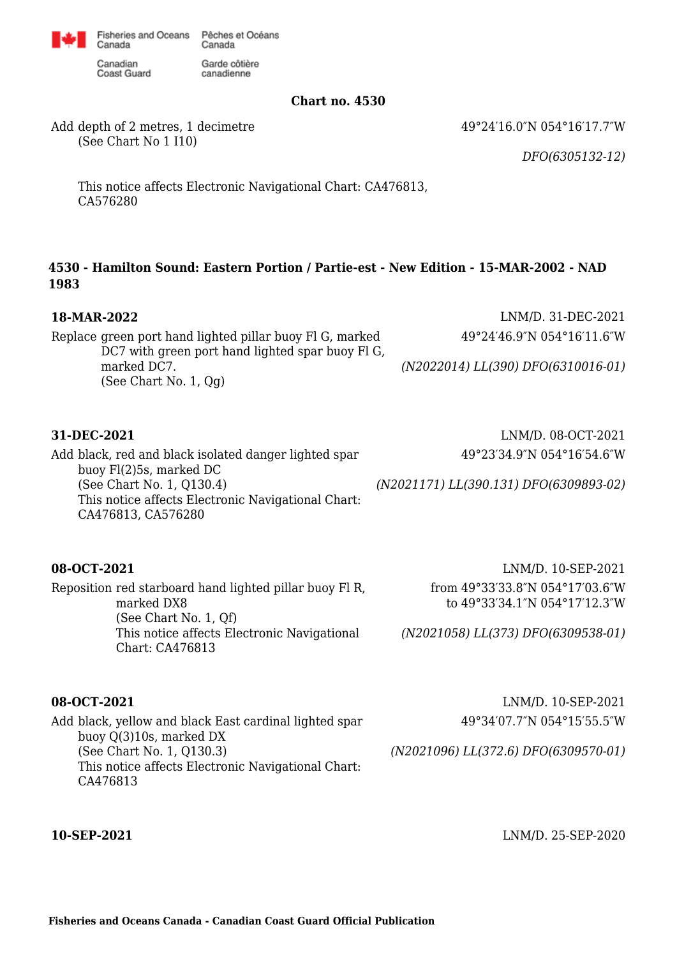

Garde côtière

canadienne

Canadian Coast Guard

Canada

**Chart no. 4530**

49°24′16.0″N 054°16′17.7″W

Add depth of 2 metres, 1 decimetre (See Chart No 1 I10)

*DFO(6305132-12)*

This notice affects Electronic Navigational Chart: CA476813, CA576280

## **4530 - Hamilton Sound: Eastern Portion / Partie-est - New Edition - 15-MAR-2002 - NAD 1983**

| 18-MAR-2022<br>Replace green port hand lighted pillar buoy Fl G, marked<br>DC7 with green port hand lighted spar buoy Fl G,<br>marked DC7.<br>(See Chart No. 1, Qg)                                      | LNM/D. 31-DEC-2021<br>49°24′46.9″N 054°16′11.6″W<br>(N2022014) LL(390) DFO(6310016-01)                                       |
|----------------------------------------------------------------------------------------------------------------------------------------------------------------------------------------------------------|------------------------------------------------------------------------------------------------------------------------------|
| 31-DEC-2021<br>Add black, red and black isolated danger lighted spar<br>buoy Fl(2)5s, marked DC<br>(See Chart No. 1, Q130.4)<br>This notice affects Electronic Navigational Chart:<br>CA476813, CA576280 | LNM/D. 08-OCT-2021<br>49°23′34.9″N 054°16′54.6″W<br>(N2021171) LL(390.131) DFO(6309893-02)                                   |
| 08-OCT-2021<br>Reposition red starboard hand lighted pillar buoy Fl R,<br>marked DX8<br>(See Chart No. 1, Qf)<br>This notice affects Electronic Navigational<br>Chart: CA476813                          | LNM/D. 10-SEP-2021<br>from 49°33'33.8"N 054°17'03.6"W<br>to 49°33′34.1"N 054°17′12.3"W<br>(N2021058) LL(373) DFO(6309538-01) |

Add black, yellow and black East cardinal lighted spar buoy Q(3)10s, marked DX (See Chart No. 1, Q130.3) This notice affects Electronic Navigational Chart: CA476813

**08-OCT-2021** LNM/D. 10-SEP-2021 49°34′07.7″N 054°15′55.5″W

*(N2021096) LL(372.6) DFO(6309570-01)*

**10-SEP-2021** LNM/D. 25-SEP-2020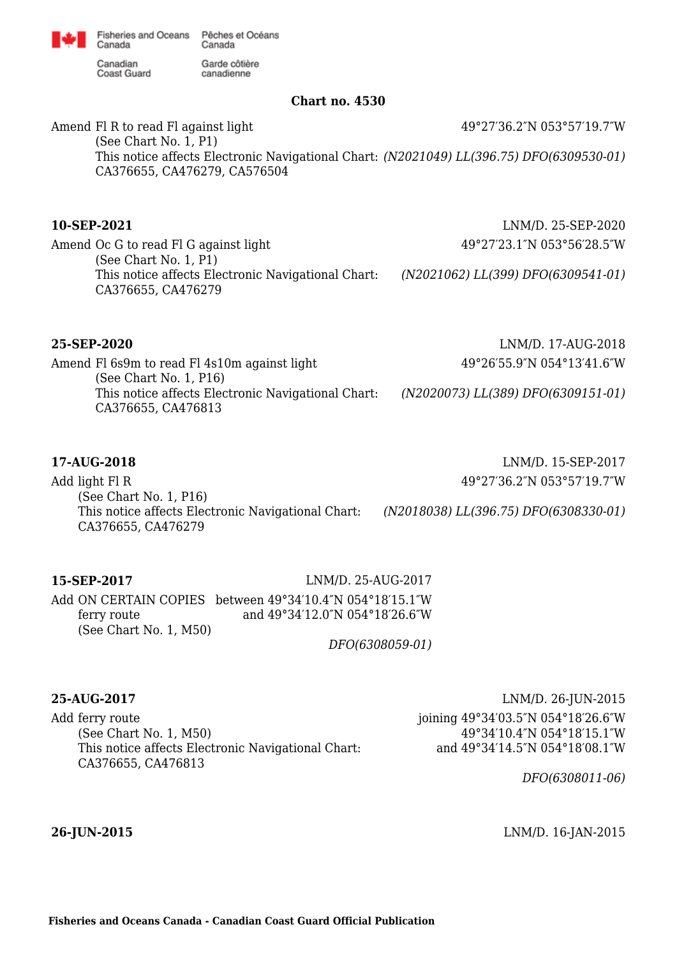Canada

Canadian **Coast Guard**  Garde côtière canadienne

Canada

Pêches et Océans

### **Chart no. 4530**

Amend Fl R to read Fl against light (See Chart No. 1, P1) This notice affects Electronic Navigational Chart: *(N2021049) LL(396.75) DFO(6309530-01)* CA376655, CA476279, CA576504 49°27′36.2″N 053°57′19.7″W

Amend Oc G to read Fl G against light (See Chart No. 1, P1) This notice affects Electronic Navigational Chart: CA376655, CA476279

**10-SEP-2021** LNM/D. 25-SEP-2020 49°27′23.1″N 053°56′28.5″W

*(N2021062) LL(399) DFO(6309541-01)*

**25-SEP-2020** LNM/D. 17-AUG-2018

Amend Fl 6s9m to read Fl 4s10m against light (See Chart No. 1, P16) This notice affects Electronic Navigational Chart: CA376655, CA476813 *(N2020073) LL(389) DFO(6309151-01)*

Add light Fl R (See Chart No. 1, P16) This notice affects Electronic Navigational Chart: *(N2018038) LL(396.75) DFO(6308330-01)* CA376655, CA476279

**15-SEP-2017** LNM/D. 25-AUG-2017

Add ON CERTAIN COPIES between 49°34′10.4″N 054°18′15.1″W ferry route (See Chart No. 1, M50) and 49°34′12.0″N 054°18′26.6″W

*DFO(6308059-01)*

Add ferry route (See Chart No. 1, M50) This notice affects Electronic Navigational Chart: CA376655, CA476813

**25-AUG-2017** LNM/D. 26-JUN-2015 joining 49°34′03.5″N 054°18′26.6″W 49°34′10.4″N 054°18′15.1″W and 49°34′14.5″N 054°18′08.1″W

*DFO(6308011-06)*

**26-JUN-2015** LNM/D. 16-JAN-2015

**Fisheries and Oceans Canada - Canadian Coast Guard Official Publication**



49°26′55.9″N 054°13′41.6″W

**17-AUG-2018** LNM/D. 15-SEP-2017 49°27′36.2″N 053°57′19.7″W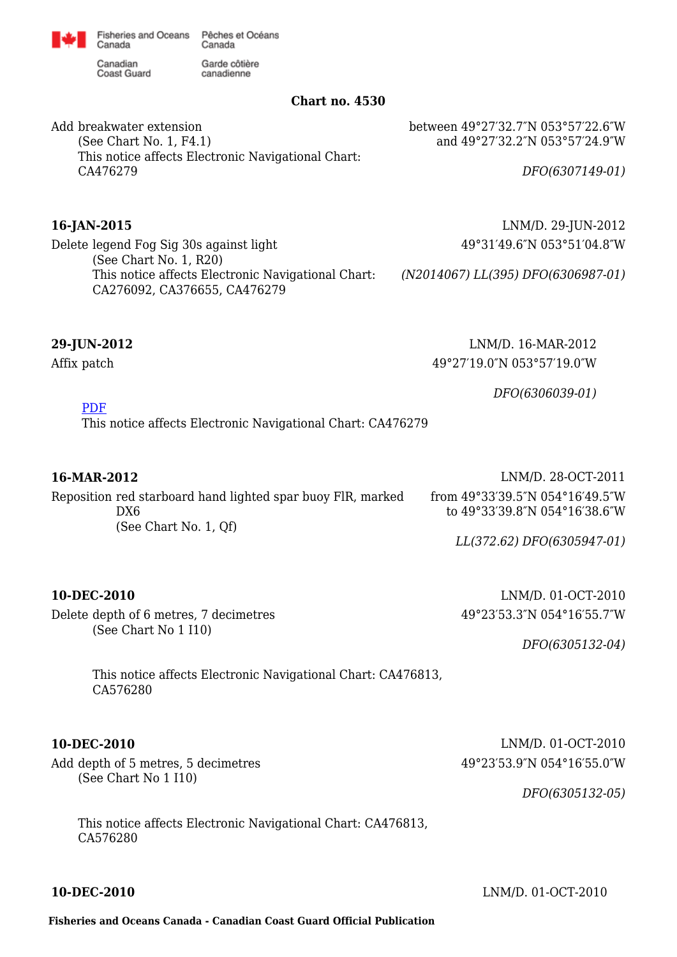

Canadian **Coast Guard** 

Canada

Garde côtière canadienne

This notice affects Electronic Navigational Chart:

### **Chart no. 4530**

between 49°27′32.7″N 053°57′22.6″W and 49°27′32.2″N 053°57′24.9″W

Add breakwater extension (See Chart No. 1, F4.1) This notice affects Electronic Navigational Chart: CA476279

Delete legend Fog Sig 30s against light (See Chart No. 1, R20)

CA276092, CA376655, CA476279

*DFO(6307149-01)*

**16-JAN-2015** LNM/D. 29-JUN-2012 49°31′49.6″N 053°51′04.8″W

*(N2014067) LL(395) DFO(6306987-01)*

Affix patch

**29-JUN-2012** LNM/D. 16-MAR-2012 49°27′19.0″N 053°57′19.0″W

*DFO(6306039-01)*

[PDF](http://www.chs-shc.gc.ca/patches/4530_PA_310849.pdf)

This notice affects Electronic Navigational Chart: CA476279

| 16-MAR-2012                                                                                 | LNM/D. 28-OCT-2011                                                                   |
|---------------------------------------------------------------------------------------------|--------------------------------------------------------------------------------------|
| Reposition red starboard hand lighted spar buoy FIR, marked<br>DX6<br>(See Chart No. 1, Qf) | from $49^{\circ}33'39.5''N$ $054^{\circ}16'49.5''W$<br>to 49°33'39.8"N 054°16'38.6"W |
|                                                                                             | LL(372.62) DFO(6305947-01)                                                           |

Delete depth of 6 metres, 7 decimetres (See Chart No 1 I10)

Add depth of 5 metres, 5 decimetres

(See Chart No 1 I10)

**10-DEC-2010** LNM/D. 01-OCT-2010 49°23′53.3″N 054°16′55.7″W

*DFO(6305132-04)*

*DFO(6305132-05)*

This notice affects Electronic Navigational Chart: CA476813, CA576280

**10-DEC-2010** LNM/D. 01-OCT-2010 49°23′53.9″N 054°16′55.0″W

This notice affects Electronic Navigational Chart: CA476813, CA576280

**10-DEC-2010** LNM/D. 01-OCT-2010

**Fisheries and Oceans Canada - Canadian Coast Guard Official Publication**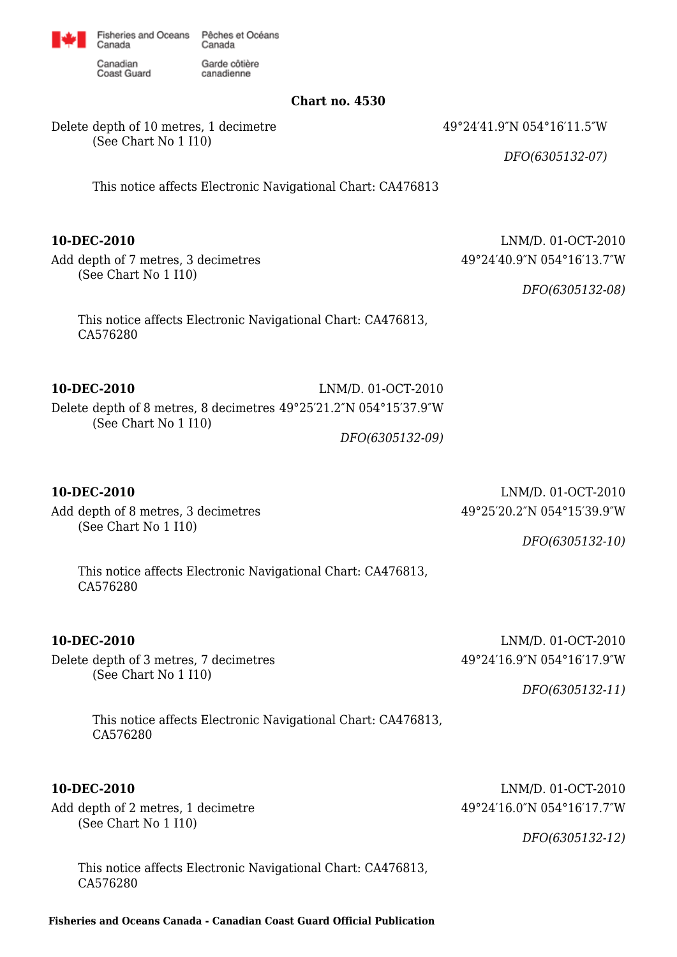

Garde côtière

canadienne

Canadian Coast Guard

Canada

**Chart no. 4530**

Delete depth of 10 metres, 1 decimetre (See Chart No 1 I10)

49°24′41.9″N 054°16′11.5″W

*DFO(6305132-07)*

This notice affects Electronic Navigational Chart: CA476813

Add depth of 7 metres, 3 decimetres (See Chart No 1 I10)

**10-DEC-2010** LNM/D. 01-OCT-2010 49°24′40.9″N 054°16′13.7″W

*DFO(6305132-08)*

This notice affects Electronic Navigational Chart: CA476813, CA576280

**10-DEC-2010** LNM/D. 01-OCT-2010

Delete depth of 8 metres, 8 decimetres 49°25′21.2″N 054°15′37.9″W (See Chart No 1 I10)

# *DFO(6305132-09)*

Add depth of 8 metres, 3 decimetres (See Chart No 1 I10)

Delete depth of 3 metres, 7 decimetres (See Chart No 1 I10)

**10-DEC-2010** LNM/D. 01-OCT-2010 49°25′20.2″N 054°15′39.9″W

*DFO(6305132-10)*

This notice affects Electronic Navigational Chart: CA476813, CA576280

**10-DEC-2010** LNM/D. 01-OCT-2010 49°24′16.9″N 054°16′17.9″W

*DFO(6305132-11)*

This notice affects Electronic Navigational Chart: CA476813, CA576280

Add depth of 2 metres, 1 decimetre (See Chart No 1 I10)

**10-DEC-2010** LNM/D. 01-OCT-2010 49°24′16.0″N 054°16′17.7″W

*DFO(6305132-12)*

This notice affects Electronic Navigational Chart: CA476813, CA576280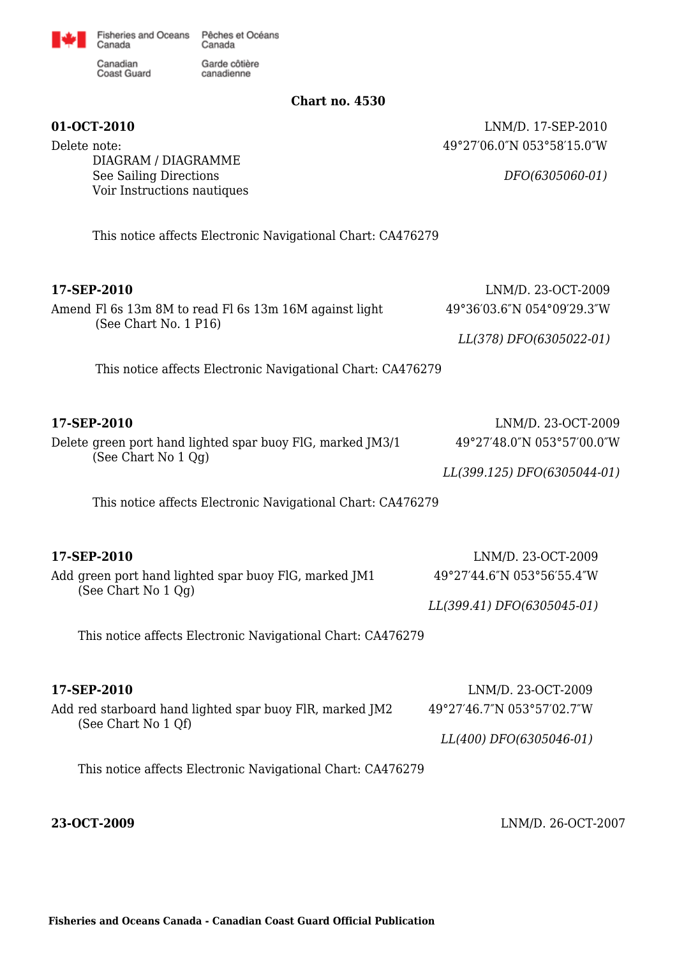

Garde côtière

canadienne

Canadian Coast Guard

Canada

### **Chart no. 4530**

**01-OCT-2010** LNM/D. 17-SEP-2010 49°27′06.0″N 053°58′15.0″W

*DFO(6305060-01)*

Delete note: DIAGRAM / DIAGRAMME See Sailing Directions Voir Instructions nautiques

This notice affects Electronic Navigational Chart: CA476279

### **17-SEP-2010** LNM/D. 23-OCT-2009

| Amend Fl 6s 13m 8M to read Fl 6s 13m 16M against light<br>(See Chart No. 1 P16)   | 49°36'03.6"N 054°09'29.3"W  |
|-----------------------------------------------------------------------------------|-----------------------------|
|                                                                                   | LL(378) DFO(6305022-01)     |
| This notice affects Electronic Navigational Chart: CA476279                       |                             |
|                                                                                   |                             |
| 17-SEP-2010                                                                       | LNM/D. 23-OCT-2009          |
| Delete green port hand lighted spar buoy FIG, marked JM3/1<br>(See Chart No 1 Qq) | 49°27'48.0"N 053°57'00.0"W  |
|                                                                                   | LL(399.125) DFO(6305044-01) |
|                                                                                   |                             |

This notice affects Electronic Navigational Chart: CA476279

| 17-SEP-2010                                                                  | LNM/D. 23-OCT-2009         |
|------------------------------------------------------------------------------|----------------------------|
| Add green port hand lighted spar buoy FIG, marked JM1<br>(See Chart No 1 Qq) | 49°27′44.6″N 053°56′55.4″W |
|                                                                              | LL(399.41) DFO(6305045-01) |

This notice affects Electronic Navigational Chart: CA476279

| 17-SEP-2010                                                                     | LNM/D. 23-OCT-2009                           |
|---------------------------------------------------------------------------------|----------------------------------------------|
| Add red starboard hand lighted spar buoy FIR, marked JM2<br>(See Chart No 1 Qf) | $49^{\circ}27'46.7''N 053^{\circ}57'02.7''W$ |
|                                                                                 | LL(400) DFO(6305046-01)                      |

This notice affects Electronic Navigational Chart: CA476279

**23-OCT-2009** LNM/D. 26-OCT-2007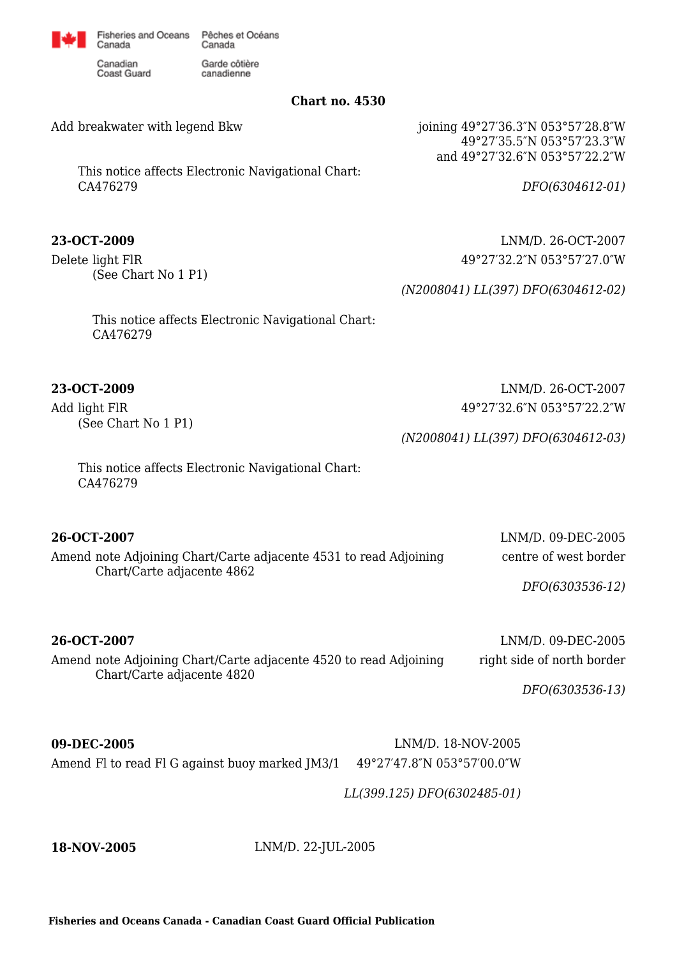

Garde côtière

canadienne

Canadian **Coast Guard** 

Canada

**Chart no. 4530**

Add breakwater with legend Bkw

This notice affects Electronic Navigational Chart: CA476279

Delete light FlR (See Chart No 1 P1) joining 49°27′36.3″N 053°57′28.8″W 49°27′35.5″N 053°57′23.3″W and 49°27′32.6″N 053°57′22.2″W

*DFO(6304612-01)*

**23-OCT-2009** LNM/D. 26-OCT-2007 49°27′32.2″N 053°57′27.0″W

*(N2008041) LL(397) DFO(6304612-02)*

*(N2008041) LL(397) DFO(6304612-03)*

This notice affects Electronic Navigational Chart: CA476279

**23-OCT-2009** LNM/D. 26-OCT-2007

Add light FlR (See Chart No 1 P1)

> This notice affects Electronic Navigational Chart: CA476279

Amend note Adjoining Chart/Carte adjacente 4531 to read Adjoining Chart/Carte adjacente 4862

49°27′32.6″N 053°57′22.2″W

**26-OCT-2007** LNM/D. 09-DEC-2005 centre of west border

*DFO(6303536-12)*

**26-OCT-2007** LNM/D. 09-DEC-2005 Amend note Adjoining Chart/Carte adjacente 4520 to read Adjoining Chart/Carte adjacente 4820

right side of north border

*DFO(6303536-13)*

**09-DEC-2005** LNM/D. 18-NOV-2005 Amend Fl to read Fl G against buoy marked JM3/1 49°27'47.8"N 053°57'00.0"W

*LL(399.125) DFO(6302485-01)*

**18-NOV-2005** LNM/D. 22-JUL-2005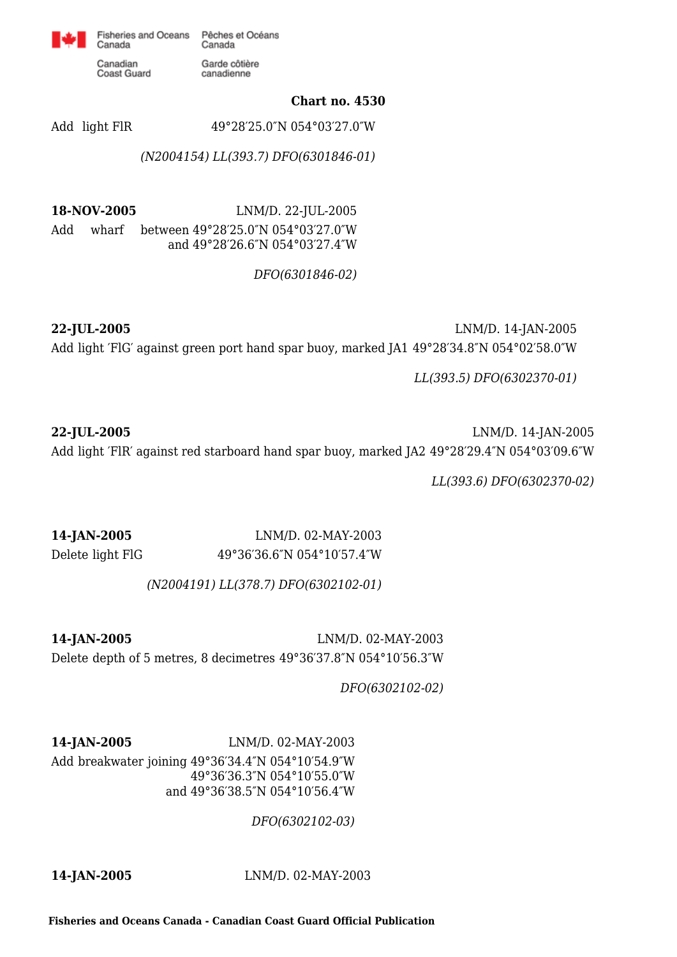

Garde côtière

canadienne

Canadian **Coast Guard** 

Canada

**Chart no. 4530**

Add light FlR 49°28′25.0″N 054°03′27.0″W

*(N2004154) LL(393.7) DFO(6301846-01)*

**18-NOV-2005** LNM/D. 22-JUL-2005 Add wharf between 49°28′25.0″N 054°03′27.0″W and 49°28′26.6″N 054°03′27.4″W

*DFO(6301846-02)*

**22-JUL-2005** LNM/D. 14-JAN-2005 Add light ′FlG′ against green port hand spar buoy, marked JA1 49°28′34.8″N 054°02′58.0″W

*LL(393.5) DFO(6302370-01)*

**22-JUL-2005** LNM/D. 14-JAN-2005 Add light ′FlR′ against red starboard hand spar buoy, marked JA2 49°28′29.4″N 054°03′09.6″W

*LL(393.6) DFO(6302370-02)*

**14-JAN-2005** LNM/D. 02-MAY-2003 Delete light FlG 49°36′36.6″N 054°10′57.4″W

*(N2004191) LL(378.7) DFO(6302102-01)*

**14-JAN-2005** LNM/D. 02-MAY-2003 Delete depth of 5 metres, 8 decimetres 49°36′37.8″N 054°10′56.3″W

*DFO(6302102-02)*

**14-JAN-2005** LNM/D. 02-MAY-2003

Add breakwater joining 49°36′34.4″N 054°10′54.9″W 49°36′36.3″N 054°10′55.0″W and 49°36′38.5″N 054°10′56.4″W

*DFO(6302102-03)*

**14-JAN-2005** LNM/D. 02-MAY-2003

**Fisheries and Oceans Canada - Canadian Coast Guard Official Publication**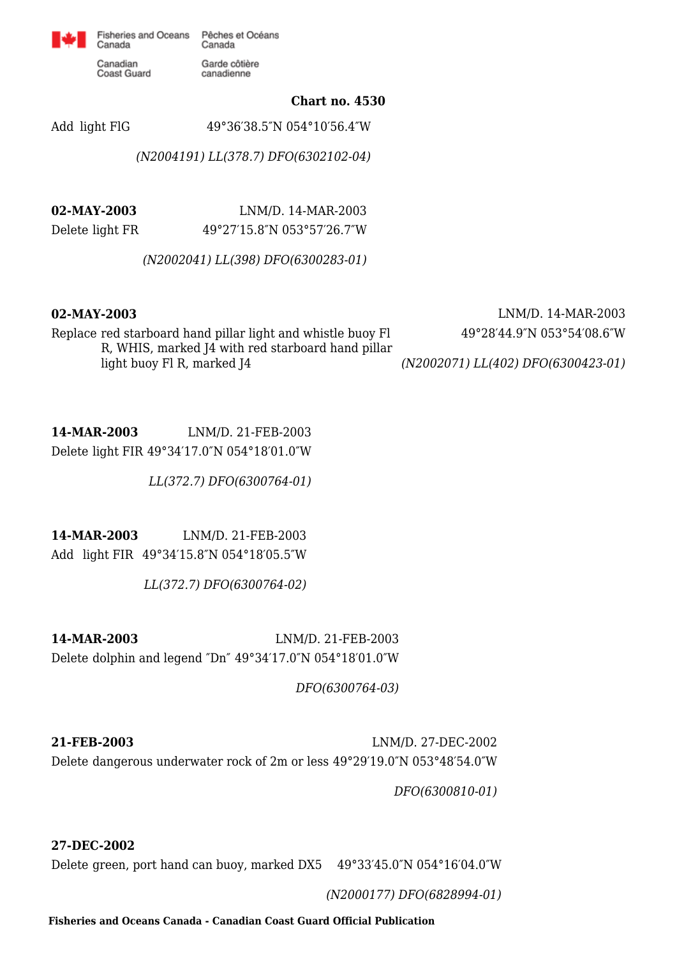

Garde côtière

canadienne

Canadian Coast Guard

Canada

**Chart no. 4530**

Add light FlG 49°36′38.5″N 054°10′56.4″W

*(N2004191) LL(378.7) DFO(6302102-04)*

**02-MAY-2003** LNM/D. 14-MAR-2003 Delete light FR 49°27′15.8″N 053°57′26.7″W

*(N2002041) LL(398) DFO(6300283-01)*

**02-MAY-2003** LNM/D. 14-MAR-2003 49°28′44.9″N 053°54′08.6″W

Replace red starboard hand pillar light and whistle buoy Fl R, WHIS, marked J4 with red starboard hand pillar light buoy Fl R, marked J4

*(N2002071) LL(402) DFO(6300423-01)*

**14-MAR-2003** LNM/D. 21-FEB-2003 Delete light FIR 49°34′17.0″N 054°18′01.0″W

*LL(372.7) DFO(6300764-01)*

**14-MAR-2003** LNM/D. 21-FEB-2003 Add light FIR 49°34′15.8″N 054°18′05.5″W

*LL(372.7) DFO(6300764-02)*

**14-MAR-2003** LNM/D. 21-FEB-2003 Delete dolphin and legend ″Dn″ 49°34′17.0″N 054°18′01.0″W

*DFO(6300764-03)*

**21-FEB-2003** LNM/D. 27-DEC-2002 Delete dangerous underwater rock of 2m or less 49°29′19.0″N 053°48′54.0″W

*DFO(6300810-01)*

**27-DEC-2002**

Delete green, port hand can buoy, marked DX5 49°33′45.0″N 054°16′04.0″W

*(N2000177) DFO(6828994-01)*

**Fisheries and Oceans Canada - Canadian Coast Guard Official Publication**